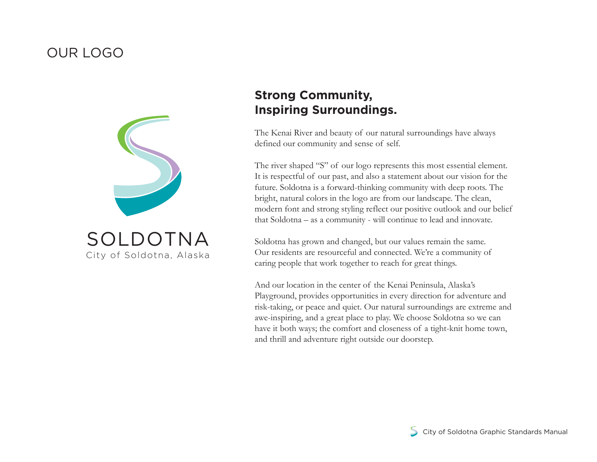#### OUR LOGO



# **Strong Community, Inspiring Surroundings.**

The Kenai River and beauty of our natural surroundings have always defined our community and sense of self.

The river shaped "S" of our logo represents this most essential element. It is respectful of our past, and also a statement about our vision for the future. Soldotna is a forward-thinking community with deep roots. The bright, natural colors in the logo are from our landscape. The clean, modern font and strong styling reflect our positive outlook and our belief that Soldotna – as a community - will continue to lead and innovate.

Soldotna has grown and changed, but our values remain the same. Our residents are resourceful and connected. We're a community of caring people that work together to reach for great things.

And our location in the center of the Kenai Peninsula, Alaska's Playground, provides opportunities in every direction for adventure and risk-taking, or peace and quiet. Our natural surroundings are extreme and awe-inspiring, and a great place to play. We choose Soldotna so we can have it both ways; the comfort and closeness of a tight-knit home town, and thrill and adventure right outside our doorstep.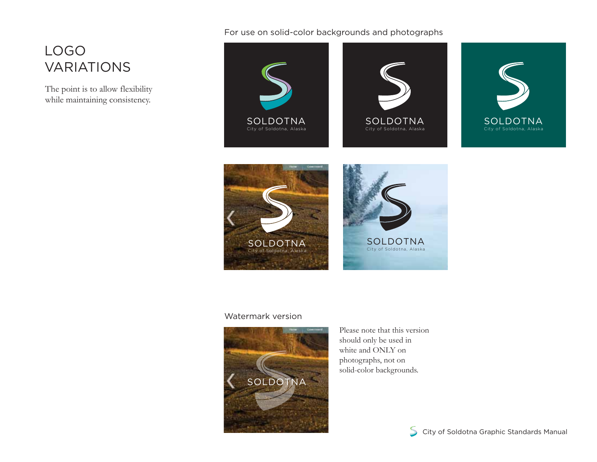## LOGO VARIATIONS

The point is to allow flexibility while maintaining consistency.

#### For use on solid-color backgrounds and photographs



#### Watermark version



Please note that this version should only be used in white and ONLY on photographs, not on solid-color backgrounds.

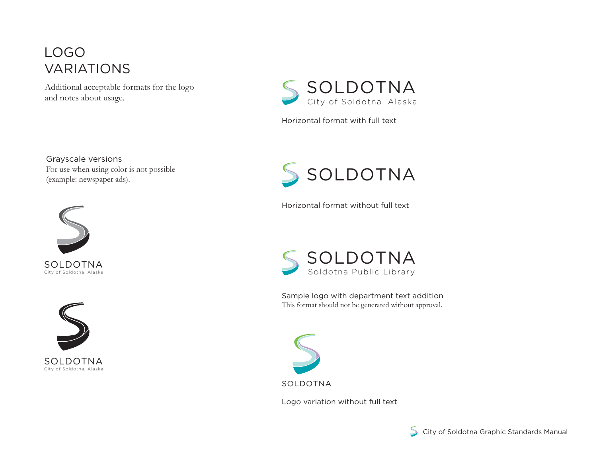## LOGO VARIATIONS

Additional acceptable formats for the logo and notes about usage.

Grayscale versions For use when using color is not possible (example: newspaper ads).







Horizontal format with full text



Horizontal format without full text



Sample logo with department text addition This format should not be generated without approval.



Logo variation without full text

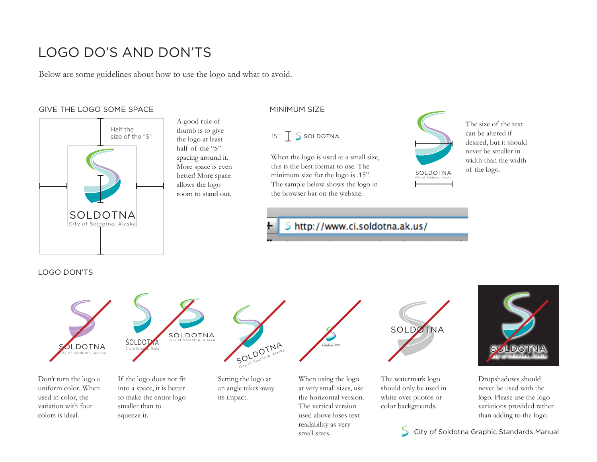## LOGO DO'S AND DON'TS

Below are some guidelines about how to use the logo and what to avoid.

A good rule of thumb is to give the logo at least half of the "S" spacing around it. More space is even better! More space allows the logo room to stand out.

#### GIVE THE LOGO SOME SPACE **ALCOGITY CONTACT CONTACT AN INITIAL MINIMUM** SIZE



#### $.15"$   $\overline{\phantom{1}}$  S soldotna

When the logo is used at a small size, this is the best format to use. The minimum size for the logo is .15". The sample below shows the logo in the browser bar on the website.

#### S http://www.ci.soldotna.ak.us/

The size of the text can be altered if desired, but it should never be smaller in width than the width of the logo.

#### LOGO DON'TS



Don't turn the logo a uniform color. When used in color, the variation with four colors is ideal.

If the logo does not fit into a space, it is better to make the entire logo smaller than to squeeze it.

Setting the logo at an angle takes away its impact.

When using the logo at very small sizes, use the horizontal version. The vertical version used above loses text readability as very small sizes.

The watermark logo

SOLDOTNA City of Soldotna, Alaska

should only be used in white over photos or color backgrounds.



Dropshadows should never be used with the logo. Please use the logo variations provided rather than adding to the logo.

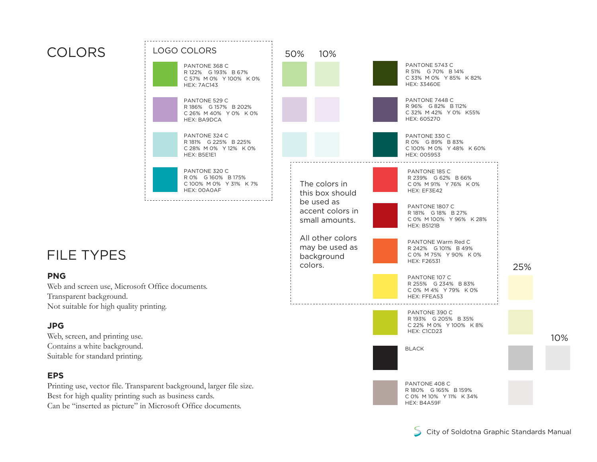## COLORS

FILE TYPES

Transparent background.

Web, screen, and printing use. Contains a white background. Suitable for standard printing.

**PNG**

**JPG**

**EPS**



Can be "inserted as picture" in Microsoft Office documents.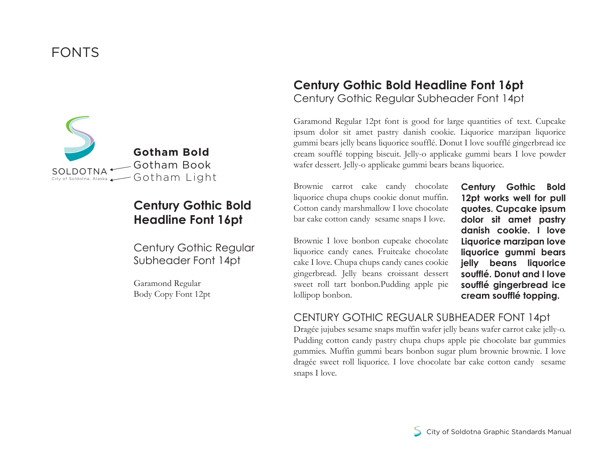## FONTS



### **Century Gothic Bold Headline Font 16pt**

Century Gothic Regular Subheader Font 14pt

Garamond Regular Body Copy Font 12pt

#### **Century Gothic Bold Headline Font 16pt** Century Gothic Regular Subheader Font 14pt

Garamond Regular 12pt font is good for large quantities of text. Cupcake ipsum dolor sit amet pastry danish cookie. Liquorice marzipan liquorice gummi bears jelly beans liquorice soufflé. Donut I love soufflé gingerbread ice cream soufflé topping biscuit. Jelly-o applicake gummi bears I love powder wafer dessert. Jelly-o applicake gummi bears beans liquorice.

Brownie carrot cake candy chocolate liquorice chupa chups cookie donut muffin. Cotton candy marshmallow I love chocolate bar cake cotton candy sesame snaps I love.

Brownie I love bonbon cupcake chocolate liquorice candy canes. Fruitcake chocolate cake I love. Chupa chups candy canes cookie gingerbread. Jelly beans croissant dessert sweet roll tart bonbon.Pudding apple pie lollipop bonbon.

**Century Gothic Bold 12pt works well for pull quotes. Cupcake ipsum dolor sit amet pastry danish cookie. I love Liquorice marzipan love liquorice gummi bears jelly beans liquorice soufflé. Donut and I love soufflé gingerbread ice cream soufflé topping.** 

#### CENTURY GOTHIC REGUALR SUBHEADER FONT 14pt

Dragée jujubes sesame snaps muffin wafer jelly beans wafer carrot cake jelly-o. Pudding cotton candy pastry chupa chups apple pie chocolate bar gummies gummies. Muffin gummi bears bonbon sugar plum brownie brownie. I love dragée sweet roll liquorice. I love chocolate bar cake cotton candy sesame snaps I love.

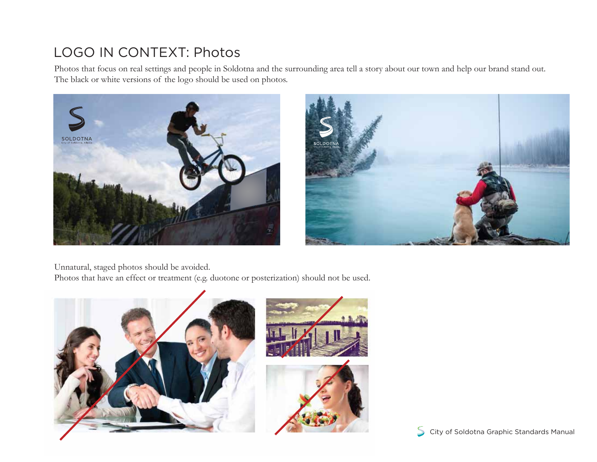# LOGO IN CONTEXT: Photos

Photos that focus on real settings and people in Soldotna and the surrounding area tell a story about our town and help our brand stand out. The black or white versions of the logo should be used on photos.





Unnatural, staged photos should be avoided.

Photos that have an effect or treatment (e.g. duotone or posterization) should not be used.



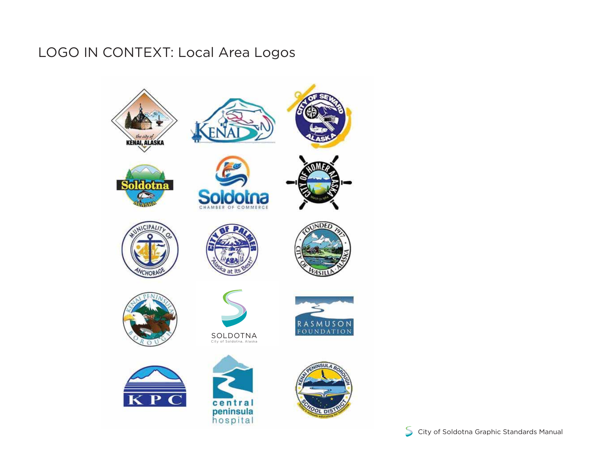# LOGO IN CONTEXT: Local Area Logos

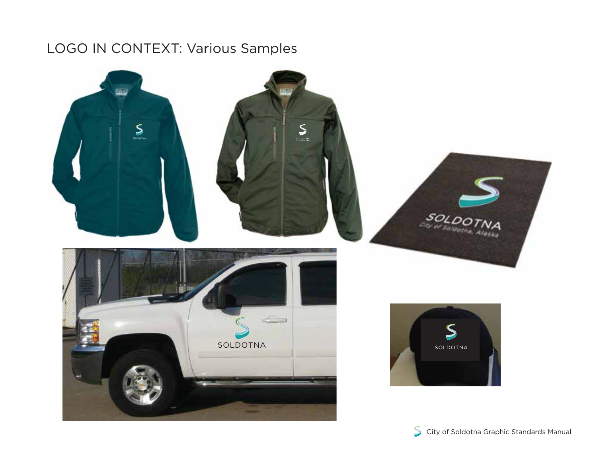# LOGO IN CONTEXT: Various Samples



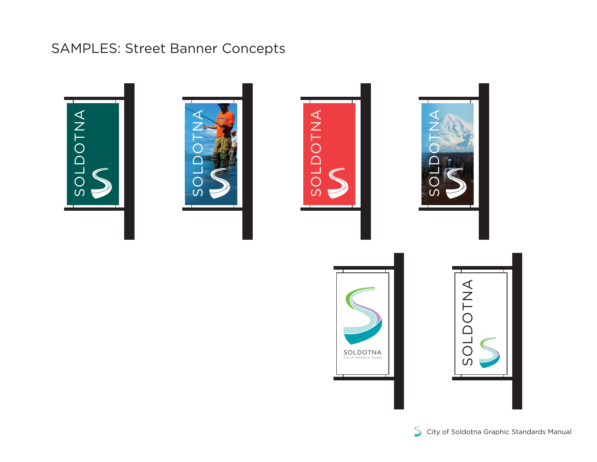## SAMPLES: Street Banner Concepts









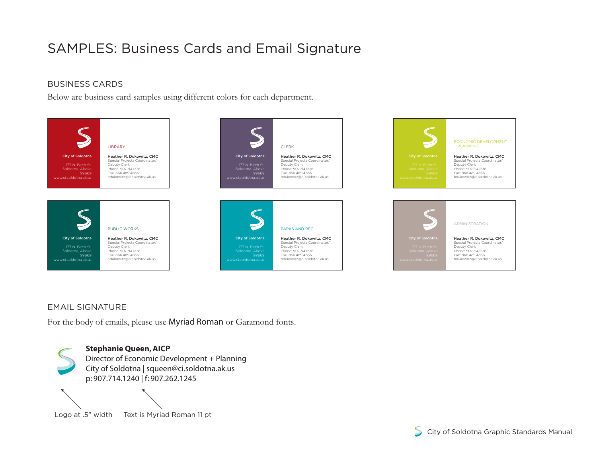# SAMPLES: Business Cards and Email Signature

#### BUSINESS CARDS

Below are business card samples using different colors for each department.



#### EMAIL SIGNATURE

For the body of emails, please use Myriad Roman or Garamond fonts.



Logo at .5" width Text is Myriad Roman 11 pt

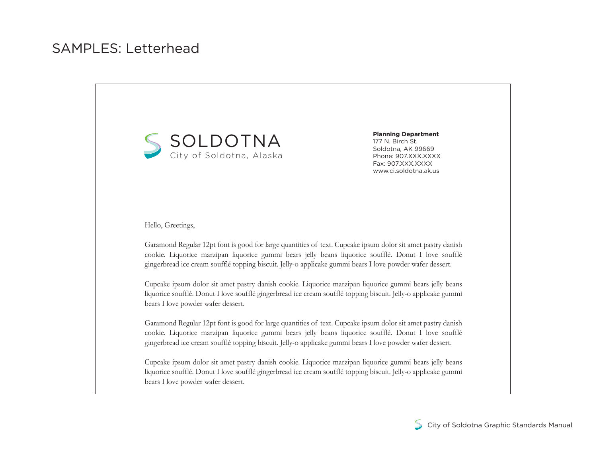

**Planning Department** 177 N. Birch St. Soldotna, AK 99669 Phone: 907.XXX.XXXX Fax: 907.XXX.XXXX www.ci.soldotna.ak.us

Hello, Greetings,

Garamond Regular 12pt font is good for large quantities of text. Cupcake ipsum dolor sit amet pastry danish cookie. Liquorice marzipan liquorice gummi bears jelly beans liquorice soufflé. Donut I love soufflé gingerbread ice cream soufflé topping biscuit. Jelly-o applicake gummi bears I love powder wafer dessert.

Cupcake ipsum dolor sit amet pastry danish cookie. Liquorice marzipan liquorice gummi bears jelly beans liquorice soufflé. Donut I love soufflé gingerbread ice cream soufflé topping biscuit. Jelly-o applicake gummi bears I love powder wafer dessert.

Garamond Regular 12pt font is good for large quantities of text. Cupcake ipsum dolor sit amet pastry danish cookie. Liquorice marzipan liquorice gummi bears jelly beans liquorice soufflé. Donut I love soufflé gingerbread ice cream soufflé topping biscuit. Jelly-o applicake gummi bears I love powder wafer dessert.

Cupcake ipsum dolor sit amet pastry danish cookie. Liquorice marzipan liquorice gummi bears jelly beans liquorice soufflé. Donut I love soufflé gingerbread ice cream soufflé topping biscuit. Jelly-o applicake gummi bears I love powder wafer dessert.

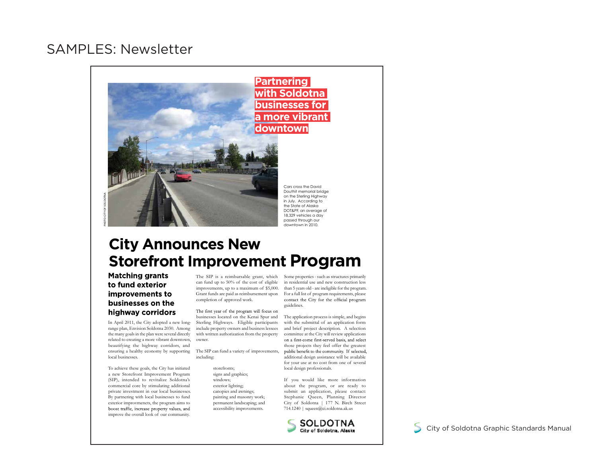#### SAMPLES: Newsletter



## **City Announces New Storefront Improvement Program**

**Matching grants** to fund exterior improvements to businesses on the highway corridors

In April 2011, the City adopted a new longrange plan, Envision Soldotna 2030. Among the many goals in the plan were several directly related to creating a more vibrant downtown, beautifying the highway corridors, and ensuring a healthy economy by supporting local businesses.

To achieve these goals, the City has initiated a new Storefront Improvement Program (SIP), intended to revitalize Soldotna's commercial core by stimulating additional private investment in our local businesses. By partnering with local businesses to fund exterior improvmenets, the program aims to boost traffic, increase property values, and improve the overall look of our community.

The SIP is a reimbursable grant, which can fund up to 50% of the cost of eligible improvements, up to a maximum of \$5,000. Grant funds are paid as reimbursement upon completion of approved work.

The first year of the program will focus on businesses located on the Kenai Spur and Sterling Highways. Eligible participants include property owners and business lessees with written authorization from the property owner.

The SIP can fund a variety of improvements, including:

> storefronts; signs and graphics; windows; exterior lighting; canopies and awnings; painting and masonry work; permanent landscaping; and accessibility improvements.

Some properties - such as structures primarily in residential use and new construction less than 5 years old - are ineligible for the program. For a full list of program requirements, please contact the City for the official program guidelines.

The application process is simple, and begins with the submittal of an application form and brief project description. A selection committee at the City will review applications on a first-come first-served basis, and select those projects they feel offer the greatest<br>public benefit to the community. If selected, additional design assistance will be available for your use at no cost from one of several local design professionals.

If you would like more information about the program, or are ready to submit an application, please contact: Stephanie Queen, Planning Director City of Soldotna | 177 N. Birch Street 714.1240 | squeen@ci.soldotna.ak.us